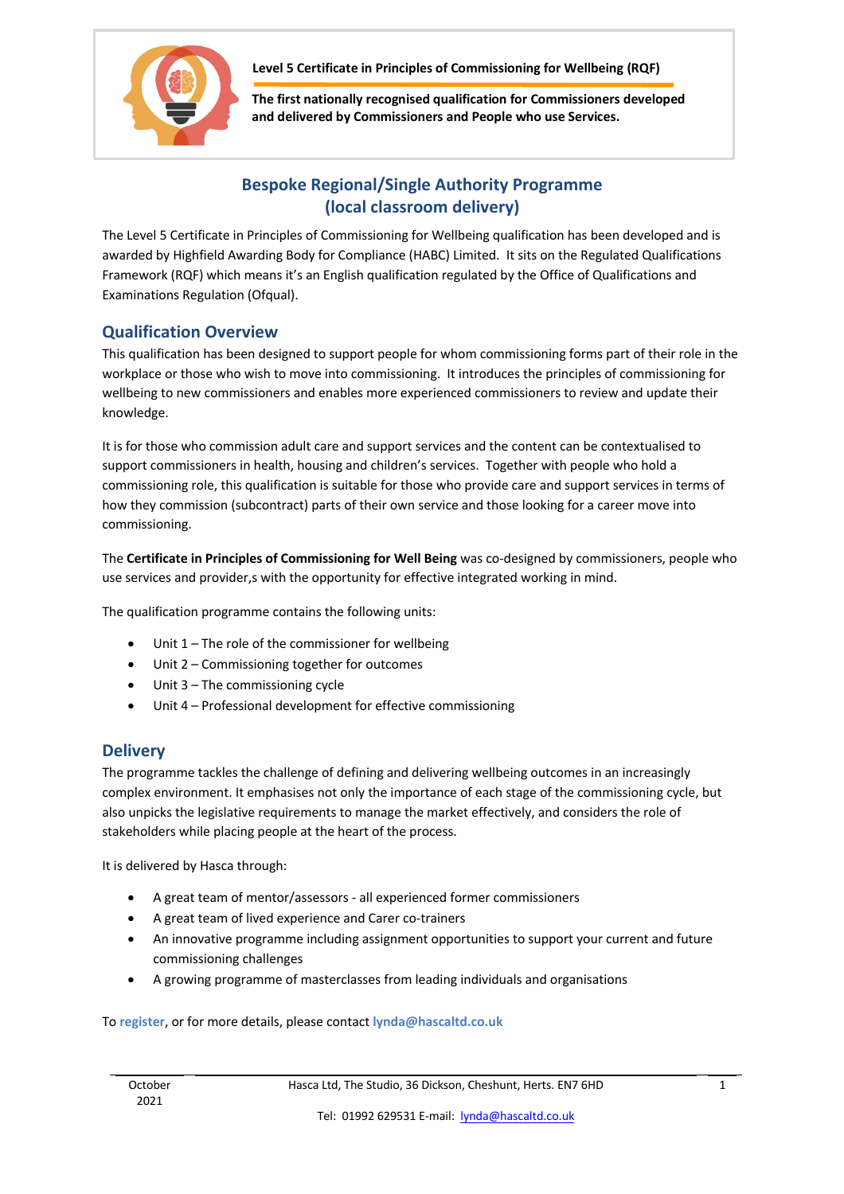

 **Level 5 Certificate in Principles of Commissioning for Wellbeing (RQF)**

**The first nationally recognised qualification for Commissioners developed and delivered by Commissioners and People who use Services.**

## **Bespoke Regional/Single Authority Programme (local classroom delivery)**

The Level 5 Certificate in Principles of Commissioning for Wellbeing qualification has been developed and is awarded by Highfield Awarding Body for Compliance (HABC) Limited. It sits on the Regulated Qualifications Framework (RQF) which means it's an English qualification regulated by the Office of Qualifications and Examinations Regulation (Ofqual).

## **Qualification Overview**

This qualification has been designed to support people for whom commissioning forms part of their role in the workplace or those who wish to move into commissioning. It introduces the principles of commissioning for wellbeing to new commissioners and enables more experienced commissioners to review and update their knowledge.

It is for those who commission adult care and support services and the content can be contextualised to support commissioners in health, housing and children's services. Together with people who hold a commissioning role, this qualification is suitable for those who provide care and support services in terms of how they commission (subcontract) parts of their own service and those looking for a career move into commissioning.

The **Certificate in Principles of Commissioning for Well Being** was co-designed by commissioners, people who use services and provider,s with the opportunity for effective integrated working in mind.

The qualification programme contains the following units:

- Unit  $1$  The role of the commissioner for wellbeing
- Unit 2 Commissioning together for outcomes
- Unit 3 The commissioning cycle
- Unit 4 Professional development for effective commissioning

## **Delivery**

The programme tackles the challenge of defining and delivering wellbeing outcomes in an increasingly complex environment. It emphasises not only the importance of each stage of the commissioning cycle, but also unpicks the legislative requirements to manage the market effectively, and considers the role of stakeholders while placing people at the heart of the process.

It is delivered by Hasca through:

- A great team of mentor/assessors all experienced former commissioners
- A great team of lived experience and Carer co-trainers
- An innovative programme including assignment opportunities to support your current and future commissioning challenges
- A growing programme of masterclasses from leading individuals and organisations

## To **register**, or for more details, please contact **lynda@hascaltd.co.uk**